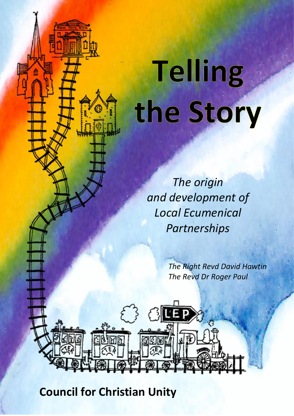# **Telling** the Story

*The origin and development of Local Ecumenical Partnerships*

31

*The Right Revd David Hawtin The Revd Dr Roger Paul*

**Council for Christian Unity**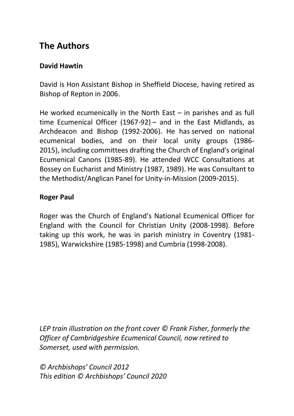## **The Authors**

#### **David Hawtin**

David is Hon Assistant Bishop in Sheffield Diocese, having retired as Bishop of Repton in 2006.

He worked ecumenically in the North East – in parishes and as full time Ecumenical Officer (1967-92) – and in the East Midlands, as Archdeacon and Bishop (1992-2006). He has served on national ecumenical bodies, and on their local unity groups (1986- 2015), including committees drafting the Church of England's original Ecumenical Canons (1985-89). He attended WCC Consultations at Bossey on Eucharist and Ministry (1987, 1989). He was Consultant to the Methodist/Anglican Panel for Unity-in-Mission (2009-2015).

#### **Roger Paul**

Roger was the Church of England's National Ecumenical Officer for England with the Council for Christian Unity (2008-1998). Before taking up this work, he was in parish ministry in Coventry (1981- 1985), Warwickshire (1985-1998) and Cumbria (1998-2008).

*LEP train illustration on the front cover © Frank Fisher, formerly the Officer of Cambridgeshire Ecumenical Council, now retired to Somerset, used with permission.*

*© Archbishops' Council 2012 This edition © Archbishops' Council 2020*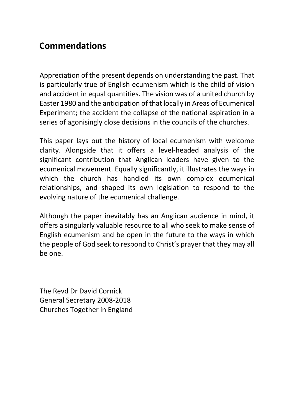## **Commendations**

Appreciation of the present depends on understanding the past. That is particularly true of English ecumenism which is the child of vision and accident in equal quantities. The vision was of a united church by Easter 1980 and the anticipation of that locally in Areas of Ecumenical Experiment; the accident the collapse of the national aspiration in a series of agonisingly close decisions in the councils of the churches.

This paper lays out the history of local ecumenism with welcome clarity. Alongside that it offers a level-headed analysis of the significant contribution that Anglican leaders have given to the ecumenical movement. Equally significantly, it illustrates the ways in which the church has handled its own complex ecumenical relationships, and shaped its own legislation to respond to the evolving nature of the ecumenical challenge.

Although the paper inevitably has an Anglican audience in mind, it offers a singularly valuable resource to all who seek to make sense of English ecumenism and be open in the future to the ways in which the people of God seek to respond to Christ's prayer that they may all be one.

The Revd Dr David Cornick General Secretary 2008-2018 Churches Together in England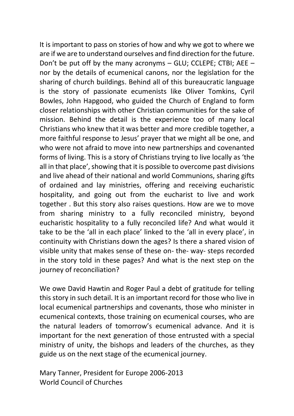It is important to pass on stories of how and why we got to where we are if we are to understand ourselves and find direction for the future. Don't be put off by the many acronyms – GLU; CCLEPE; CTBI; AEE – nor by the details of ecumenical canons, nor the legislation for the sharing of church buildings. Behind all of this bureaucratic language is the story of passionate ecumenists like Oliver Tomkins, Cyril Bowles, John Hapgood, who guided the Church of England to form closer relationships with other Christian communities for the sake of mission. Behind the detail is the experience too of many local Christians who knew that it was better and more credible together, a more faithful response to Jesus' prayer that we might all be one, and who were not afraid to move into new partnerships and covenanted forms of living. This is a story of Christians trying to live locally as 'the all in that place', showing that it is possible to overcome past divisions and live ahead of their national and world Communions, sharing gifts of ordained and lay ministries, offering and receiving eucharistic hospitality, and going out from the eucharist to live and work together . But this story also raises questions. How are we to move from sharing ministry to a fully reconciled ministry, beyond eucharistic hospitality to a fully reconciled life? And what would it take to be the 'all in each place' linked to the 'all in every place', in continuity with Christians down the ages? Is there a shared vision of visible unity that makes sense of these on- the- way- steps recorded in the story told in these pages? And what is the next step on the journey of reconciliation?

We owe David Hawtin and Roger Paul a debt of gratitude for telling this story in such detail. It is an important record for those who live in local ecumenical partnerships and covenants, those who minister in ecumenical contexts, those training on ecumenical courses, who are the natural leaders of tomorrow's ecumenical advance. And it is important for the next generation of those entrusted with a special ministry of unity, the bishops and leaders of the churches, as they guide us on the next stage of the ecumenical journey.

Mary Tanner, President for Europe 2006-2013 World Council of Churches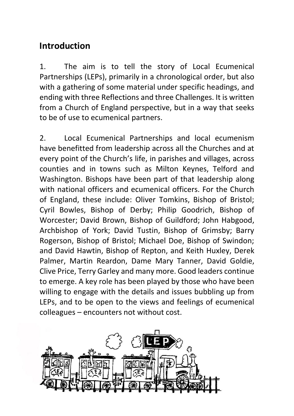## **Introduction**

1. The aim is to tell the story of Local Ecumenical Partnerships (LEPs), primarily in a chronological order, but also with a gathering of some material under specific headings, and ending with three Reflections and three Challenges. It is written from a Church of England perspective, but in a way that seeks to be of use to ecumenical partners.

2. Local Ecumenical Partnerships and local ecumenism have benefitted from leadership across all the Churches and at every point of the Church's life, in parishes and villages, across counties and in towns such as Milton Keynes, Telford and Washington. Bishops have been part of that leadership along with national officers and ecumenical officers. For the Church of England, these include: Oliver Tomkins, Bishop of Bristol; Cyril Bowles, Bishop of Derby; Philip Goodrich, Bishop of Worcester; David Brown, Bishop of Guildford; John Habgood, Archbishop of York; David Tustin, Bishop of Grimsby; Barry Rogerson, Bishop of Bristol; Michael Doe, Bishop of Swindon; and David Hawtin, Bishop of Repton, and Keith Huxley, Derek Palmer, Martin Reardon, Dame Mary Tanner, David Goldie, Clive Price, Terry Garley and many more. Good leaders continue to emerge. A key role has been played by those who have been willing to engage with the details and issues bubbling up from LEPs, and to be open to the views and feelings of ecumenical colleagues – encounters not without cost.

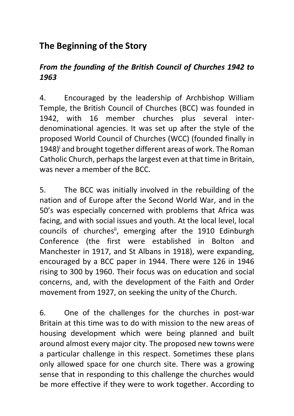# **The Beginning of the Story**

#### *From the founding of the British Council of Churches 1942 to 1963*

4. Encouraged by the leadership of Archbishop William Temple, the British Council of Churches (BCC) was founded in 1942, with 16 member churches plus several interdenominational agencies. It was set up after the style of the proposed World Council of Churches (WCC) (founded finally in 1948)<sup>i</sup> and brought together different areas of work. The Roman Catholic Church, perhaps the largest even at that time in Britain, was never a member of the BCC.

5. The BCC was initially involved in the rebuilding of the nation and of Europe after the Second World War, and in the 50's was especially concerned with problems that Africa was facing, and with social issues and youth. At the local level, local councils of churches<sup>ii</sup>, emerging after the 1910 Edinburgh Conference (the first were established in Bolton and Manchester in 1917, and St Albans in 1918), were expanding, encouraged by a BCC paper in 1944. There were 126 in 1946 rising to 300 by 1960. Their focus was on education and social concerns, and, with the development of the Faith and Order movement from 1927, on seeking the unity of the Church.

6. One of the challenges for the churches in post-war Britain at this time was to do with mission to the new areas of housing development which were being planned and built around almost every major city. The proposed new towns were a particular challenge in this respect. Sometimes these plans only allowed space for one church site. There was a growing sense that in responding to this challenge the churches would be more effective if they were to work together. According to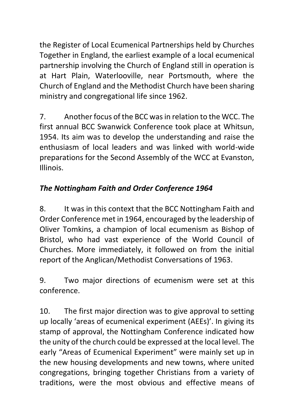the Register of Local Ecumenical Partnerships held by Churches Together in England, the earliest example of a local ecumenical partnership involving the Church of England still in operation is at Hart Plain, Waterlooville, near Portsmouth, where the Church of England and the Methodist Church have been sharing ministry and congregational life since 1962.

7. Another focus of the BCC was in relation to the WCC. The first annual BCC Swanwick Conference took place at Whitsun, 1954. Its aim was to develop the understanding and raise the enthusiasm of local leaders and was linked with world-wide preparations for the Second Assembly of the WCC at Evanston, Illinois.

## *The Nottingham Faith and Order Conference 1964*

8. It was in this context that the BCC Nottingham Faith and Order Conference met in 1964, encouraged by the leadership of Oliver Tomkins, a champion of local ecumenism as Bishop of Bristol, who had vast experience of the World Council of Churches. More immediately, it followed on from the initial report of the Anglican/Methodist Conversations of 1963.

9. Two major directions of ecumenism were set at this conference.

10. The first major direction was to give approval to setting up locally 'areas of ecumenical experiment (AEEs)'. In giving its stamp of approval, the Nottingham Conference indicated how the unity of the church could be expressed at the local level. The early "Areas of Ecumenical Experiment" were mainly set up in the new housing developments and new towns, where united congregations, bringing together Christians from a variety of traditions, were the most obvious and effective means of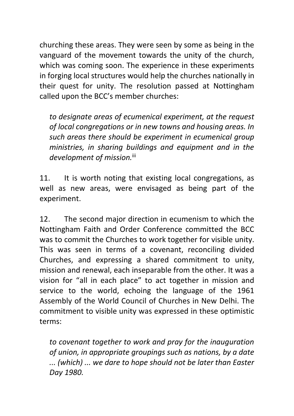churching these areas. They were seen by some as being in the vanguard of the movement towards the unity of the church, which was coming soon. The experience in these experiments in forging local structures would help the churches nationally in their quest for unity. The resolution passed at Nottingham called upon the BCC's member churches:

*to designate areas of ecumenical experiment, at the request of local congregations or in new towns and housing areas. In such areas there should be experiment in ecumenical group ministries, in sharing buildings and equipment and in the development of mission.*iii

11. It is worth noting that existing local congregations, as well as new areas, were envisaged as being part of the experiment.

12. The second major direction in ecumenism to which the Nottingham Faith and Order Conference committed the BCC was to commit the Churches to work together for visible unity. This was seen in terms of a covenant, reconciling divided Churches, and expressing a shared commitment to unity, mission and renewal, each inseparable from the other. It was a vision for "all in each place" to act together in mission and service to the world, echoing the language of the 1961 Assembly of the World Council of Churches in New Delhi. The commitment to visible unity was expressed in these optimistic terms:

*to covenant together to work and pray for the inauguration of union, in appropriate groupings such as nations, by a date ... (which) ... we dare to hope should not be later than Easter Day 1980.*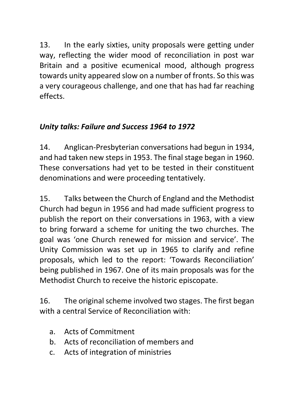13. In the early sixties, unity proposals were getting under way, reflecting the wider mood of reconciliation in post war Britain and a positive ecumenical mood, although progress towards unity appeared slow on a number of fronts. So this was a very courageous challenge, and one that has had far reaching effects.

#### *Unity talks: Failure and Success 1964 to 1972*

14. Anglican-Presbyterian conversations had begun in 1934, and had taken new steps in 1953. The final stage began in 1960. These conversations had yet to be tested in their constituent denominations and were proceeding tentatively.

15. Talks between the Church of England and the Methodist Church had begun in 1956 and had made sufficient progress to publish the report on their conversations in 1963, with a view to bring forward a scheme for uniting the two churches. The goal was 'one Church renewed for mission and service'. The Unity Commission was set up in 1965 to clarify and refine proposals, which led to the report: 'Towards Reconciliation' being published in 1967. One of its main proposals was for the Methodist Church to receive the historic episcopate.

16. The original scheme involved two stages. The first began with a central Service of Reconciliation with:

- a. Acts of Commitment
- b. Acts of reconciliation of members and
- c. Acts of integration of ministries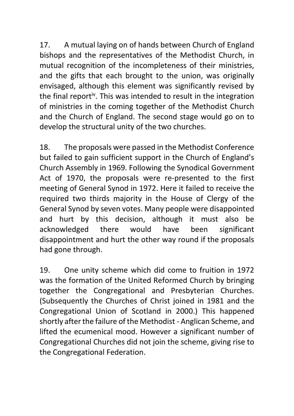17. A mutual laying on of hands between Church of England bishops and the representatives of the Methodist Church, in mutual recognition of the incompleteness of their ministries, and the gifts that each brought to the union, was originally envisaged, although this element was significantly revised by the final report<sup>iv</sup>. This was intended to result in the integration of ministries in the coming together of the Methodist Church and the Church of England. The second stage would go on to develop the structural unity of the two churches.

18. The proposals were passed in the Methodist Conference but failed to gain sufficient support in the Church of England's Church Assembly in 1969. Following the Synodical Government Act of 1970, the proposals were re-presented to the first meeting of General Synod in 1972. Here it failed to receive the required two thirds majority in the House of Clergy of the General Synod by seven votes. Many people were disappointed and hurt by this decision, although it must also be acknowledged there would have been significant disappointment and hurt the other way round if the proposals had gone through.

19. One unity scheme which did come to fruition in 1972 was the formation of the United Reformed Church by bringing together the Congregational and Presbyterian Churches. (Subsequently the Churches of Christ joined in 1981 and the Congregational Union of Scotland in 2000.) This happened shortly after the failure of the Methodist - Anglican Scheme, and lifted the ecumenical mood. However a significant number of Congregational Churches did not join the scheme, giving rise to the Congregational Federation.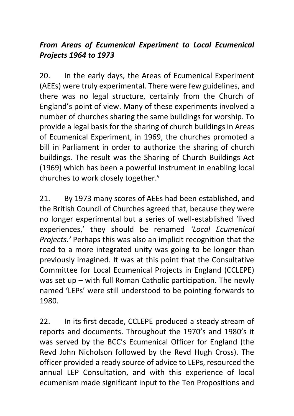#### *From Areas of Ecumenical Experiment to Local Ecumenical Projects 1964 to 1973*

20. In the early days, the Areas of Ecumenical Experiment (AEEs) were truly experimental. There were few guidelines, and there was no legal structure, certainly from the Church of England's point of view. Many of these experiments involved a number of churches sharing the same buildings for worship. To provide a legal basis for the sharing of church buildings in Areas of Ecumenical Experiment, in 1969, the churches promoted a bill in Parliament in order to authorize the sharing of church buildings. The result was the Sharing of Church Buildings Act (1969) which has been a powerful instrument in enabling local churches to work closely together.<sup>v</sup>

21. By 1973 many scores of AEEs had been established, and the British Council of Churches agreed that, because they were no longer experimental but a series of well-established 'lived experiences,' they should be renamed *'Local Ecumenical Projects.'* Perhaps this was also an implicit recognition that the road to a more integrated unity was going to be longer than previously imagined. It was at this point that the Consultative Committee for Local Ecumenical Projects in England (CCLEPE) was set up – with full Roman Catholic participation. The newly named 'LEPs' were still understood to be pointing forwards to 1980.

22. In its first decade, CCLEPE produced a steady stream of reports and documents. Throughout the 1970's and 1980's it was served by the BCC's Ecumenical Officer for England (the Revd John Nicholson followed by the Revd Hugh Cross). The officer provided a ready source of advice to LEPs, resourced the annual LEP Consultation, and with this experience of local ecumenism made significant input to the Ten Propositions and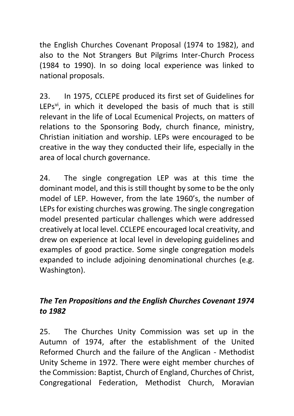the English Churches Covenant Proposal (1974 to 1982), and also to the Not Strangers But Pilgrims Inter-Church Process (1984 to 1990). In so doing local experience was linked to national proposals.

23. In 1975, CCLEPE produced its first set of Guidelines for LEPs<sup>vi</sup>, in which it developed the basis of much that is still relevant in the life of Local Ecumenical Projects, on matters of relations to the Sponsoring Body, church finance, ministry, Christian initiation and worship. LEPs were encouraged to be creative in the way they conducted their life, especially in the area of local church governance.

24. The single congregation LEP was at this time the dominant model, and this is still thought by some to be the only model of LEP. However, from the late 1960's, the number of LEPs for existing churches was growing. The single congregation model presented particular challenges which were addressed creatively at local level. CCLEPE encouraged local creativity, and drew on experience at local level in developing guidelines and examples of good practice. Some single congregation models expanded to include adjoining denominational churches (e.g. Washington).

## *The Ten Propositions and the English Churches Covenant 1974 to 1982*

25. The Churches Unity Commission was set up in the Autumn of 1974, after the establishment of the United Reformed Church and the failure of the Anglican - Methodist Unity Scheme in 1972. There were eight member churches of the Commission: Baptist, Church of England, Churches of Christ, Congregational Federation, Methodist Church, Moravian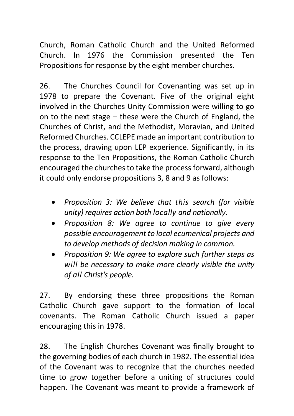Church, Roman Catholic Church and the United Reformed Church. In 1976 the Commission presented the Ten Propositions for response by the eight member churches.

26. The Churches Council for Covenanting was set up in 1978 to prepare the Covenant. Five of the original eight involved in the Churches Unity Commission were willing to go on to the next stage – these were the Church of England, the Churches of Christ, and the Methodist, Moravian, and United Reformed Churches. CCLEPE made an important contribution to the process, drawing upon LEP experience. Significantly, in its response to the Ten Propositions, the Roman Catholic Church encouraged the churches to take the process forward, although it could only endorse propositions 3, 8 and 9 as follows:

- *Proposition 3: We believe that this search (for visible unity) requires action both locally and nationally.*
- *Proposition 8: We agree to continue to give every possible encouragement to local ecumenical projects and to develop methods of decision making in common.*
- *Proposition 9: We agree to explore such further steps as will be necessary to make more clearly visible the unity of all Christ's people.*

27. By endorsing these three propositions the Roman Catholic Church gave support to the formation of local covenants. The Roman Catholic Church issued a paper encouraging this in 1978.

28. The English Churches Covenant was finally brought to the governing bodies of each church in 1982. The essential idea of the Covenant was to recognize that the churches needed time to grow together before a uniting of structures could happen. The Covenant was meant to provide a framework of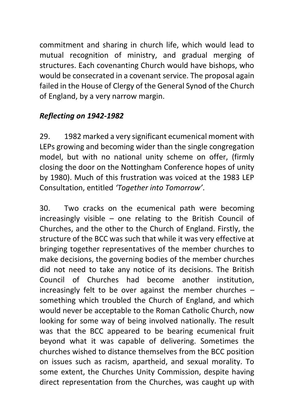commitment and sharing in church life, which would lead to mutual recognition of ministry, and gradual merging of structures. Each covenanting Church would have bishops, who would be consecrated in a covenant service. The proposal again failed in the House of Clergy of the General Synod of the Church of England, by a very narrow margin.

#### *Reflecting on 1942-1982*

29. 1982 marked a very significant ecumenical moment with LEPs growing and becoming wider than the single congregation model, but with no national unity scheme on offer, (firmly closing the door on the Nottingham Conference hopes of unity by 1980). Much of this frustration was voiced at the 1983 LEP Consultation, entitled *'Together into Tomorrow'*.

30. Two cracks on the ecumenical path were becoming increasingly visible – one relating to the British Council of Churches, and the other to the Church of England. Firstly, the structure of the BCC was such that while it was very effective at bringing together representatives of the member churches to make decisions, the governing bodies of the member churches did not need to take any notice of its decisions. The British Council of Churches had become another institution, increasingly felt to be over against the member churches – something which troubled the Church of England, and which would never be acceptable to the Roman Catholic Church, now looking for some way of being involved nationally. The result was that the BCC appeared to be bearing ecumenical fruit beyond what it was capable of delivering. Sometimes the churches wished to distance themselves from the BCC position on issues such as racism, apartheid, and sexual morality. To some extent, the Churches Unity Commission, despite having direct representation from the Churches, was caught up with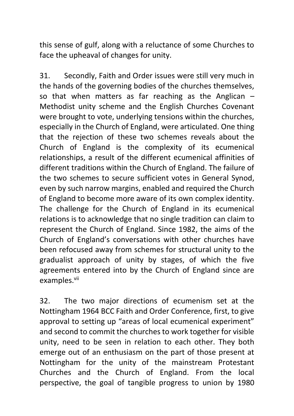this sense of gulf, along with a reluctance of some Churches to face the upheaval of changes for unity.

31. Secondly, Faith and Order issues were still very much in the hands of the governing bodies of the churches themselves, so that when matters as far reaching as the Anglican – Methodist unity scheme and the English Churches Covenant were brought to vote, underlying tensions within the churches, especially in the Church of England, were articulated. One thing that the rejection of these two schemes reveals about the Church of England is the complexity of its ecumenical relationships, a result of the different ecumenical affinities of different traditions within the Church of England. The failure of the two schemes to secure sufficient votes in General Synod, even by such narrow margins, enabled and required the Church of England to become more aware of its own complex identity. The challenge for the Church of England in its ecumenical relations is to acknowledge that no single tradition can claim to represent the Church of England. Since 1982, the aims of the Church of England's conversations with other churches have been refocused away from schemes for structural unity to the gradualist approach of unity by stages, of which the five agreements entered into by the Church of England since are examples.<sup>vii</sup>

32. The two major directions of ecumenism set at the Nottingham 1964 BCC Faith and Order Conference, first, to give approval to setting up "areas of local ecumenical experiment" and second to commit the churches to work together for visible unity, need to be seen in relation to each other. They both emerge out of an enthusiasm on the part of those present at Nottingham for the unity of the mainstream Protestant Churches and the Church of England. From the local perspective, the goal of tangible progress to union by 1980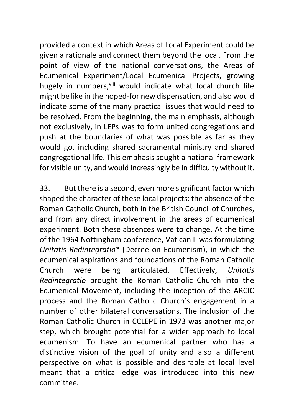provided a context in which Areas of Local Experiment could be given a rationale and connect them beyond the local. From the point of view of the national conversations, the Areas of Ecumenical Experiment/Local Ecumenical Projects, growing hugely in numbers, vili would indicate what local church life might be like in the hoped-for new dispensation, and also would indicate some of the many practical issues that would need to be resolved. From the beginning, the main emphasis, although not exclusively, in LEPs was to form united congregations and push at the boundaries of what was possible as far as they would go, including shared sacramental ministry and shared congregational life. This emphasis sought a national framework for visible unity, and would increasingly be in difficulty without it.

33. But there is a second, even more significant factor which shaped the character of these local projects: the absence of the Roman Catholic Church, both in the British Council of Churches, and from any direct involvement in the areas of ecumenical experiment. Both these absences were to change. At the time of the 1964 Nottingham conference, Vatican II was formulating *Unitatis Redintegratioix* (Decree on Ecumenism), in which the ecumenical aspirations and foundations of the Roman Catholic Church were being articulated. Effectively, *Unitatis Redintegratio* brought the Roman Catholic Church into the Ecumenical Movement, including the inception of the ARCIC process and the Roman Catholic Church's engagement in a number of other bilateral conversations. The inclusion of the Roman Catholic Church in CCLEPE in 1973 was another major step, which brought potential for a wider approach to local ecumenism. To have an ecumenical partner who has a distinctive vision of the goal of unity and also a different perspective on what is possible and desirable at local level meant that a critical edge was introduced into this new committee.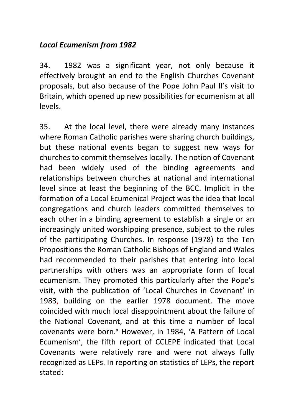#### *Local Ecumenism from 1982*

34. 1982 was a significant year, not only because it effectively brought an end to the English Churches Covenant proposals, but also because of the Pope John Paul II's visit to Britain, which opened up new possibilities for ecumenism at all levels.

35. At the local level, there were already many instances where Roman Catholic parishes were sharing church buildings, but these national events began to suggest new ways for churches to commit themselves locally. The notion of Covenant had been widely used of the binding agreements and relationships between churches at national and international level since at least the beginning of the BCC. Implicit in the formation of a Local Ecumenical Project was the idea that local congregations and church leaders committed themselves to each other in a binding agreement to establish a single or an increasingly united worshipping presence, subject to the rules of the participating Churches. In response (1978) to the Ten Propositions the Roman Catholic Bishops of England and Wales had recommended to their parishes that entering into local partnerships with others was an appropriate form of local ecumenism. They promoted this particularly after the Pope's visit, with the publication of 'Local Churches in Covenant' in 1983, building on the earlier 1978 document. The move coincided with much local disappointment about the failure of the National Covenant, and at this time a number of local covenants were born.<sup>x</sup> However, in 1984, 'A Pattern of Local Ecumenism', the fifth report of CCLEPE indicated that Local Covenants were relatively rare and were not always fully recognized as LEPs. In reporting on statistics of LEPs, the report stated: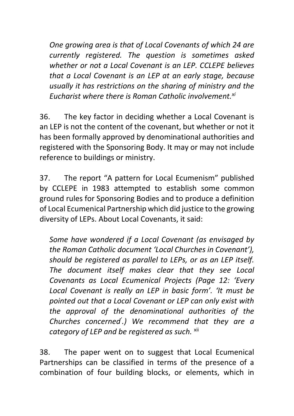*One growing area is that of Local Covenants of which 24 are currently registered. The question is sometimes asked whether or not a Local Covenant is an LEP. CCLEPE believes that a Local Covenant is an LEP at an early stage, because usually it has restrictions on the sharing of ministry and the Eucharist where there is Roman Catholic involvement.xi*

36. The key factor in deciding whether a Local Covenant is an LEP is not the content of the covenant, but whether or not it has been formally approved by denominational authorities and registered with the Sponsoring Body. It may or may not include reference to buildings or ministry.

37. The report "A pattern for Local Ecumenism" published by CCLEPE in 1983 attempted to establish some common ground rules for Sponsoring Bodies and to produce a definition of Local Ecumenical Partnership which did justice to the growing diversity of LEPs. About Local Covenants, it said:

*Some have wondered if a Local Covenant (as envisaged by the Roman Catholic document 'Local Churches in Covenant'), should be registered as parallel to LEPs, or as an LEP itself. The document itself makes clear that they see Local Covenants as Local Ecumenical Projects (Page 12: 'Every Local Covenant is really an LEP in basic form'. 'It must be pointed out that a Local Covenant or LEP can only exist with the approval of the denominational authorities of the Churches concerned' .) We recommend that they are a category of LEP and be registered as such.* xii

38. The paper went on to suggest that Local Ecumenical Partnerships can be classified in terms of the presence of a combination of four building blocks, or elements, which in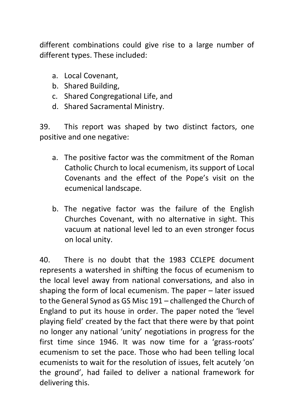different combinations could give rise to a large number of different types. These included:

- a. Local Covenant,
- b. Shared Building,
- c. Shared Congregational Life, and
- d. Shared Sacramental Ministry.

39. This report was shaped by two distinct factors, one positive and one negative:

- a. The positive factor was the commitment of the Roman Catholic Church to local ecumenism, its support of Local Covenants and the effect of the Pope's visit on the ecumenical landscape.
- b. The negative factor was the failure of the English Churches Covenant, with no alternative in sight. This vacuum at national level led to an even stronger focus on local unity.

40. There is no doubt that the 1983 CCLEPE document represents a watershed in shifting the focus of ecumenism to the local level away from national conversations, and also in shaping the form of local ecumenism. The paper – later issued to the General Synod as GS Misc 191 – challenged the Church of England to put its house in order. The paper noted the 'level playing field' created by the fact that there were by that point no longer any national 'unity' negotiations in progress for the first time since 1946. It was now time for a 'grass-roots' ecumenism to set the pace. Those who had been telling local ecumenists to wait for the resolution of issues, felt acutely 'on the ground', had failed to deliver a national framework for delivering this.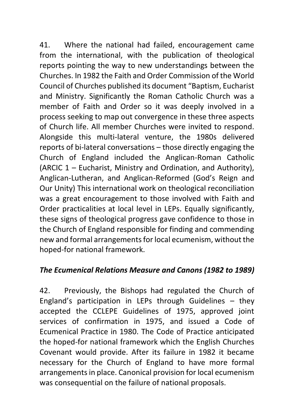41. Where the national had failed, encouragement came from the international, with the publication of theological reports pointing the way to new understandings between the Churches. In 1982 the Faith and Order Commission of the World Council of Churches published its document "Baptism, Eucharist and Ministry. Significantly the Roman Catholic Church was a member of Faith and Order so it was deeply involved in a process seeking to map out convergence in these three aspects of Church life. All member Churches were invited to respond. Alongside this multi-lateral venture, the 1980s delivered reports of bi-lateral conversations – those directly engaging the Church of England included the Anglican-Roman Catholic (ARCIC 1 – Eucharist, Ministry and Ordination, and Authority), Anglican-Lutheran, and Anglican-Reformed (God's Reign and Our Unity) This international work on theological reconciliation was a great encouragement to those involved with Faith and Order practicalities at local level in LEPs. Equally significantly, these signs of theological progress gave confidence to those in the Church of England responsible for finding and commending new and formal arrangements for local ecumenism, without the hoped-for national framework.

#### *The Ecumenical Relations Measure and Canons (1982 to 1989)*

42. Previously, the Bishops had regulated the Church of England's participation in LEPs through Guidelines – they accepted the CCLEPE Guidelines of 1975, approved joint services of confirmation in 1975, and issued a Code of Ecumenical Practice in 1980. The Code of Practice anticipated the hoped-for national framework which the English Churches Covenant would provide. After its failure in 1982 it became necessary for the Church of England to have more formal arrangements in place. Canonical provision for local ecumenism was consequential on the failure of national proposals.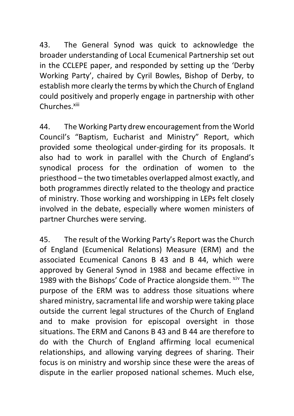43. The General Synod was quick to acknowledge the broader understanding of Local Ecumenical Partnership set out in the CCLEPE paper, and responded by setting up the 'Derby Working Party', chaired by Cyril Bowles, Bishop of Derby, to establish more clearly the terms by which the Church of England could positively and properly engage in partnership with other Churches.xiii

44. The Working Party drew encouragement from the World Council's "Baptism, Eucharist and Ministry" Report, which provided some theological under-girding for its proposals. It also had to work in parallel with the Church of England's synodical process for the ordination of women to the priesthood – the two timetables overlapped almost exactly, and both programmes directly related to the theology and practice of ministry. Those working and worshipping in LEPs felt closely involved in the debate, especially where women ministers of partner Churches were serving.

45. The result of the Working Party's Report was the Church of England (Ecumenical Relations) Measure (ERM) and the associated Ecumenical Canons B 43 and B 44, which were approved by General Synod in 1988 and became effective in 1989 with the Bishops' Code of Practice alongside them. Xiv The purpose of the ERM was to address those situations where shared ministry, sacramental life and worship were taking place outside the current legal structures of the Church of England and to make provision for episcopal oversight in those situations. The ERM and Canons B 43 and B 44 are therefore to do with the Church of England affirming local ecumenical relationships, and allowing varying degrees of sharing. Their focus is on ministry and worship since these were the areas of dispute in the earlier proposed national schemes. Much else,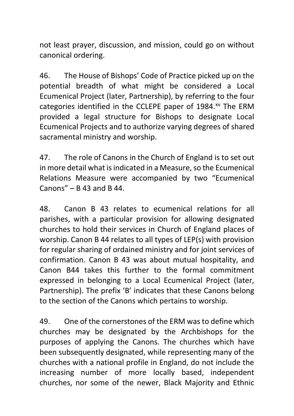not least prayer, discussion, and mission, could go on without canonical ordering.

46. The House of Bishops' Code of Practice picked up on the potential breadth of what might be considered a Local Ecumenical Project (later, Partnership), by referring to the four categories identified in the CCLEPE paper of 1984.xv The ERM provided a legal structure for Bishops to designate Local Ecumenical Projects and to authorize varying degrees of shared sacramental ministry and worship.

47. The role of Canons in the Church of England is to set out in more detail what is indicated in a Measure, so the Ecumenical Relations Measure were accompanied by two "Ecumenical Canons"  $-$  B 43 and B 44.

48. Canon B 43 relates to ecumenical relations for all parishes, with a particular provision for allowing designated churches to hold their services in Church of England places of worship. Canon B 44 relates to all types of LEP(s) with provision for regular sharing of ordained ministry and for joint services of confirmation. Canon B 43 was about mutual hospitality, and Canon B44 takes this further to the formal commitment expressed in belonging to a Local Ecumenical Project (later, Partnership). The prefix 'B' indicates that these Canons belong to the section of the Canons which pertains to worship.

49. One of the cornerstones of the ERM was to define which churches may be designated by the Archbishops for the purposes of applying the Canons. The churches which have been subsequently designated, while representing many of the churches with a national profile in England, do not include the increasing number of more locally based, independent churches, nor some of the newer, Black Majority and Ethnic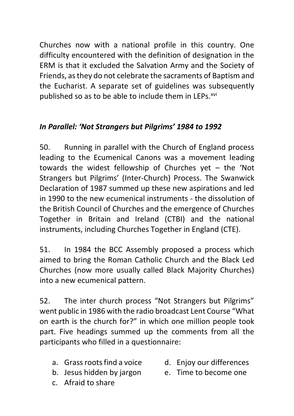Churches now with a national profile in this country. One difficulty encountered with the definition of designation in the ERM is that it excluded the Salvation Army and the Society of Friends, as they do not celebrate the sacraments of Baptism and the Eucharist. A separate set of guidelines was subsequently published so as to be able to include them in LEPs.<sup>xvi</sup>

#### *In Parallel: 'Not Strangers but Pilgrims' 1984 to 1992*

50. Running in parallel with the Church of England process leading to the Ecumenical Canons was a movement leading towards the widest fellowship of Churches yet – the 'Not Strangers but Pilgrims' (Inter-Church) Process. The Swanwick Declaration of 1987 summed up these new aspirations and led in 1990 to the new ecumenical instruments - the dissolution of the British Council of Churches and the emergence of Churches Together in Britain and Ireland (CTBI) and the national instruments, including Churches Together in England (CTE).

51. In 1984 the BCC Assembly proposed a process which aimed to bring the Roman Catholic Church and the Black Led Churches (now more usually called Black Majority Churches) into a new ecumenical pattern.

52. The inter church process "Not Strangers but Pilgrims" went public in 1986 with the radio broadcast Lent Course "What on earth is the church for?" in which one million people took part. Five headings summed up the comments from all the participants who filled in a questionnaire:

- a. Grass roots find a voice
- b. Jesus hidden by jargon
- d. Enjoy our differences
- e. Time to become one

c. Afraid to share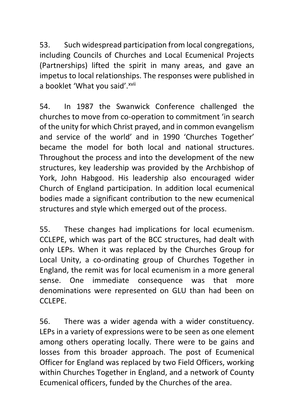53. Such widespread participation from local congregations, including Councils of Churches and Local Ecumenical Projects (Partnerships) lifted the spirit in many areas, and gave an impetus to local relationships. The responses were published in a booklet 'What you said'.xvii

54. In 1987 the Swanwick Conference challenged the churches to move from co-operation to commitment 'in search of the unity for which Christ prayed, and in common evangelism and service of the world' and in 1990 'Churches Together' became the model for both local and national structures. Throughout the process and into the development of the new structures, key leadership was provided by the Archbishop of York, John Habgood. His leadership also encouraged wider Church of England participation. In addition local ecumenical bodies made a significant contribution to the new ecumenical structures and style which emerged out of the process.

55. These changes had implications for local ecumenism. CCLEPE, which was part of the BCC structures, had dealt with only LEPs. When it was replaced by the Churches Group for Local Unity, a co-ordinating group of Churches Together in England, the remit was for local ecumenism in a more general sense. One immediate consequence was that more denominations were represented on GLU than had been on CCLEPE.

56. There was a wider agenda with a wider constituency. LEPs in a variety of expressions were to be seen as one element among others operating locally. There were to be gains and losses from this broader approach. The post of Ecumenical Officer for England was replaced by two Field Officers, working within Churches Together in England, and a network of County Ecumenical officers, funded by the Churches of the area.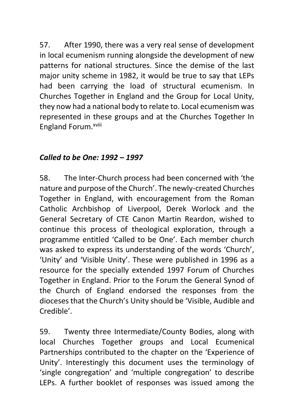57. After 1990, there was a very real sense of development in local ecumenism running alongside the development of new patterns for national structures. Since the demise of the last major unity scheme in 1982, it would be true to say that LEPs had been carrying the load of structural ecumenism. In Churches Together in England and the Group for Local Unity, they now had a national body to relate to. Local ecumenism was represented in these groups and at the Churches Together In England Forum.xviii

#### *Called to be One: 1992 – 1997*

58. The Inter-Church process had been concerned with 'the nature and purpose of the Church'. The newly-created Churches Together in England, with encouragement from the Roman Catholic Archbishop of Liverpool, Derek Worlock and the General Secretary of CTE Canon Martin Reardon, wished to continue this process of theological exploration, through a programme entitled 'Called to be One'. Each member church was asked to express its understanding of the words 'Church', 'Unity' and 'Visible Unity'. These were published in 1996 as a resource for the specially extended 1997 Forum of Churches Together in England. Prior to the Forum the General Synod of the Church of England endorsed the responses from the dioceses that the Church's Unity should be 'Visible, Audible and Credible'.

59. Twenty three Intermediate/County Bodies, along with local Churches Together groups and Local Ecumenical Partnerships contributed to the chapter on the 'Experience of Unity'. Interestingly this document uses the terminology of 'single congregation' and 'multiple congregation' to describe LEPs. A further booklet of responses was issued among the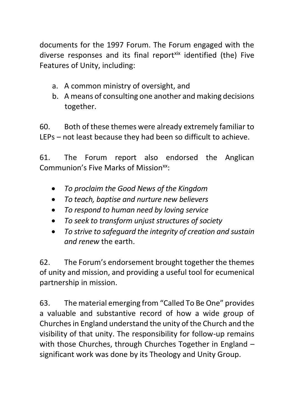documents for the 1997 Forum. The Forum engaged with the diverse responses and its final report<sup>xix</sup> identified (the) Five Features of Unity, including:

- a. A common ministry of oversight, and
- b. A means of consulting one another and making decisions together.

60. Both of these themes were already extremely familiar to LEPs – not least because they had been so difficult to achieve.

61. The Forum report also endorsed the Anglican Communion's Five Marks of Mission<sup>xx</sup>

- *To proclaim the Good News of the Kingdom*
- *To teach, baptise and nurture new believers*
- *To respond to human need by loving service*
- *To seek to transform unjust structures of society*
- *To strive to safeguard the integrity of creation and sustain and renew* the earth.

62. The Forum's endorsement brought together the themes of unity and mission, and providing a useful tool for ecumenical partnership in mission.

63. The material emerging from "Called To Be One" provides a valuable and substantive record of how a wide group of Churches in England understand the unity of the Church and the visibility of that unity. The responsibility for follow-up remains with those Churches, through Churches Together in England – significant work was done by its Theology and Unity Group.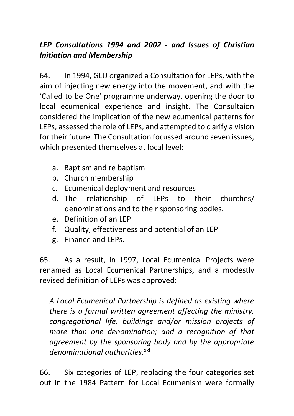## *LEP Consultations 1994 and 2002 - and Issues of Christian Initiation and Membership*

64. In 1994, GLU organized a Consultation for LEPs, with the aim of injecting new energy into the movement, and with the 'Called to be One' programme underway, opening the door to local ecumenical experience and insight. The Consultaion considered the implication of the new ecumenical patterns for LEPs, assessed the role of LEPs, and attempted to clarify a vision for their future. The Consultation focussed around seven issues, which presented themselves at local level:

- a. Baptism and re baptism
- b. Church membership
- c. Ecumenical deployment and resources
- d. The relationship of LEPs to their churches/ denominations and to their sponsoring bodies.
- e. Definition of an LEP
- f. Quality, effectiveness and potential of an LEP
- g. Finance and LEPs.

65. As a result, in 1997, Local Ecumenical Projects were renamed as Local Ecumenical Partnerships, and a modestly revised definition of LEPs was approved:

*A Local Ecumenical Partnership is defined as existing where there is a formal written agreement affecting the ministry, congregational life, buildings and/or mission projects of more than one denomination; and a recognition of that agreement by the sponsoring body and by the appropriate denominational authorities.*xxi

66. Six categories of LEP, replacing the four categories set out in the 1984 Pattern for Local Ecumenism were formally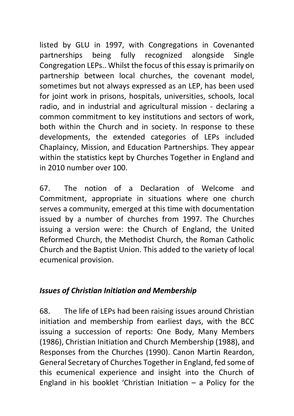listed by GLU in 1997, with Congregations in Covenanted partnerships being fully recognized alongside Single Congregation LEPs.. Whilst the focus of this essay is primarily on partnership between local churches, the covenant model, sometimes but not always expressed as an LEP, has been used for joint work in prisons, hospitals, universities, schools, local radio, and in industrial and agricultural mission - declaring a common commitment to key institutions and sectors of work, both within the Church and in society. In response to these developments, the extended categories of LEPs included Chaplaincy, Mission, and Education Partnerships. They appear within the statistics kept by Churches Together in England and in 2010 number over 100.

67. The notion of a Declaration of Welcome and Commitment, appropriate in situations where one church serves a community, emerged at this time with documentation issued by a number of churches from 1997. The Churches issuing a version were: the Church of England, the United Reformed Church, the Methodist Church, the Roman Catholic Church and the Baptist Union. This added to the variety of local ecumenical provision.

#### *Issues of Christian Initiation and Membership*

68. The life of LEPs had been raising issues around Christian initiation and membership from earliest days, with the BCC issuing a succession of reports: One Body, Many Members (1986), Christian Initiation and Church Membership (1988), and Responses from the Churches (1990). Canon Martin Reardon, General Secretary of Churches Together in England, fed some of this ecumenical experience and insight into the Church of England in his booklet 'Christian Initiation  $-$  a Policy for the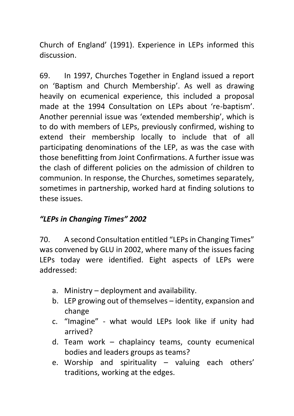Church of England' (1991). Experience in LEPs informed this discussion.

69. In 1997, Churches Together in England issued a report on 'Baptism and Church Membership'. As well as drawing heavily on ecumenical experience, this included a proposal made at the 1994 Consultation on LEPs about 're-baptism'. Another perennial issue was 'extended membership', which is to do with members of LEPs, previously confirmed, wishing to extend their membership locally to include that of all participating denominations of the LEP, as was the case with those benefitting from Joint Confirmations. A further issue was the clash of different policies on the admission of children to communion. In response, the Churches, sometimes separately, sometimes in partnership, worked hard at finding solutions to these issues.

#### *"LEPs in Changing Times" 2002*

70. A second Consultation entitled "LEPs in Changing Times" was convened by GLU in 2002, where many of the issues facing LEPs today were identified. Eight aspects of LEPs were addressed:

- a. Ministry deployment and availability.
- b. LEP growing out of themselves identity, expansion and change
- c. "Imagine" what would LEPs look like if unity had arrived?
- d. Team work chaplaincy teams, county ecumenical bodies and leaders groups as teams?
- e. Worship and spirituality valuing each others' traditions, working at the edges.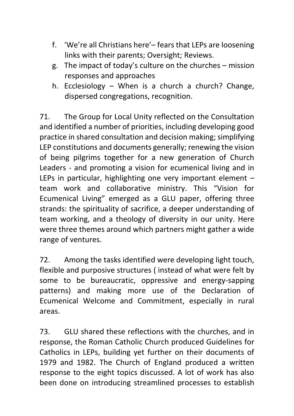- f. 'We're all Christians here'– fears that LEPs are loosening links with their parents; Oversight; Reviews.
- g. The impact of today's culture on the churches mission responses and approaches
- h. Ecclesiology When is a church a church? Change, dispersed congregations, recognition.

71. The Group for Local Unity reflected on the Consultation and identified a number of priorities, including developing good practice in shared consultation and decision making; simplifying LEP constitutions and documents generally; renewing the vision of being pilgrims together for a new generation of Church Leaders - and promoting a vision for ecumenical living and in LEPs in particular, highlighting one very important element – team work and collaborative ministry. This "Vision for Ecumenical Living" emerged as a GLU paper, offering three strands: the spirituality of sacrifice, a deeper understanding of team working, and a theology of diversity in our unity. Here were three themes around which partners might gather a wide range of ventures.

72. Among the tasks identified were developing light touch, flexible and purposive structures ( instead of what were felt by some to be bureaucratic, oppressive and energy-sapping patterns) and making more use of the Declaration of Ecumenical Welcome and Commitment, especially in rural areas.

73. GLU shared these reflections with the churches, and in response, the Roman Catholic Church produced Guidelines for Catholics in LEPs, building yet further on their documents of 1979 and 1982. The Church of England produced a written response to the eight topics discussed. A lot of work has also been done on introducing streamlined processes to establish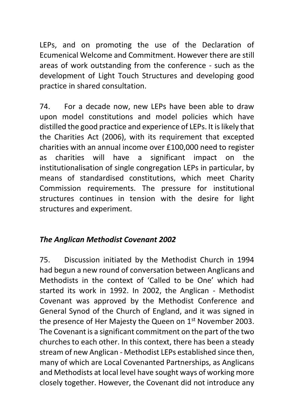LEPs, and on promoting the use of the Declaration of Ecumenical Welcome and Commitment. However there are still areas of work outstanding from the conference - such as the development of Light Touch Structures and developing good practice in shared consultation.

74. For a decade now, new LEPs have been able to draw upon model constitutions and model policies which have distilled the good practice and experience of LEPs. It is likely that the Charities Act (2006), with its requirement that excepted charities with an annual income over £100,000 need to register as charities will have a significant impact on the institutionalisation of single congregation LEPs in particular, by means of standardised constitutions, which meet Charity Commission requirements. The pressure for institutional structures continues in tension with the desire for light structures and experiment.

## *The Anglican Methodist Covenant 2002*

75. Discussion initiated by the Methodist Church in 1994 had begun a new round of conversation between Anglicans and Methodists in the context of 'Called to be One' which had started its work in 1992. In 2002, the Anglican - Methodist Covenant was approved by the Methodist Conference and General Synod of the Church of England, and it was signed in the presence of Her Majesty the Queen on 1<sup>st</sup> November 2003. The Covenant is a significant commitment on the part of the two churches to each other. In this context, there has been a steady stream of new Anglican - Methodist LEPs established since then, many of which are Local Covenanted Partnerships, as Anglicans and Methodists at local level have sought ways of working more closely together. However, the Covenant did not introduce any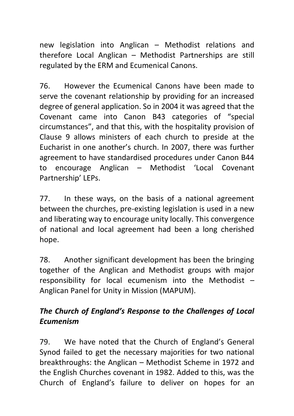new legislation into Anglican – Methodist relations and therefore Local Anglican – Methodist Partnerships are still regulated by the ERM and Ecumenical Canons.

76. However the Ecumenical Canons have been made to serve the covenant relationship by providing for an increased degree of general application. So in 2004 it was agreed that the Covenant came into Canon B43 categories of "special circumstances", and that this, with the hospitality provision of Clause 9 allows ministers of each church to preside at the Eucharist in one another's church. In 2007, there was further agreement to have standardised procedures under Canon B44 to encourage Anglican – Methodist 'Local Covenant Partnership' LEPs.

77. In these ways, on the basis of a national agreement between the churches, pre-existing legislation is used in a new and liberating way to encourage unity locally. This convergence of national and local agreement had been a long cherished hope.

78. Another significant development has been the bringing together of the Anglican and Methodist groups with major responsibility for local ecumenism into the Methodist – Anglican Panel for Unity in Mission (MAPUM).

#### *The Church of England's Response to the Challenges of Local Ecumenism*

79. We have noted that the Church of England's General Synod failed to get the necessary majorities for two national breakthroughs: the Anglican – Methodist Scheme in 1972 and the English Churches covenant in 1982. Added to this, was the Church of England's failure to deliver on hopes for an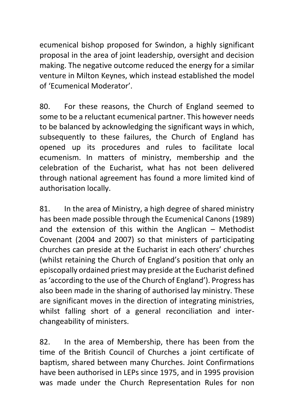ecumenical bishop proposed for Swindon, a highly significant proposal in the area of joint leadership, oversight and decision making. The negative outcome reduced the energy for a similar venture in Milton Keynes, which instead established the model of 'Ecumenical Moderator'.

80. For these reasons, the Church of England seemed to some to be a reluctant ecumenical partner. This however needs to be balanced by acknowledging the significant ways in which, subsequently to these failures, the Church of England has opened up its procedures and rules to facilitate local ecumenism. In matters of ministry, membership and the celebration of the Eucharist, what has not been delivered through national agreement has found a more limited kind of authorisation locally.

81. In the area of Ministry, a high degree of shared ministry has been made possible through the Ecumenical Canons (1989) and the extension of this within the Anglican – Methodist Covenant (2004 and 2007) so that ministers of participating churches can preside at the Eucharist in each others' churches (whilst retaining the Church of England's position that only an episcopally ordained priest may preside at the Eucharist defined as 'according to the use of the Church of England'). Progress has also been made in the sharing of authorised lay ministry. These are significant moves in the direction of integrating ministries, whilst falling short of a general reconciliation and interchangeability of ministers.

82. In the area of Membership, there has been from the time of the British Council of Churches a joint certificate of baptism, shared between many Churches. Joint Confirmations have been authorised in LEPs since 1975, and in 1995 provision was made under the Church Representation Rules for non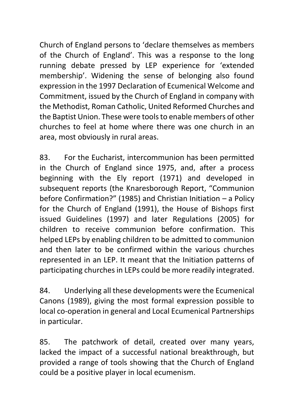Church of England persons to 'declare themselves as members of the Church of England'. This was a response to the long running debate pressed by LEP experience for 'extended membership'. Widening the sense of belonging also found expression in the 1997 Declaration of Ecumenical Welcome and Commitment, issued by the Church of England in company with the Methodist, Roman Catholic, United Reformed Churches and the Baptist Union. These were tools to enable members of other churches to feel at home where there was one church in an area, most obviously in rural areas.

83. For the Eucharist, intercommunion has been permitted in the Church of England since 1975, and, after a process beginning with the Ely report (1971) and developed in subsequent reports (the Knaresborough Report, "Communion before Confirmation?" (1985) and Christian Initiation – a Policy for the Church of England (1991), the House of Bishops first issued Guidelines (1997) and later Regulations (2005) for children to receive communion before confirmation. This helped LEPs by enabling children to be admitted to communion and then later to be confirmed within the various churches represented in an LEP. It meant that the Initiation patterns of participating churches in LEPs could be more readily integrated.

84. Underlying all these developments were the Ecumenical Canons (1989), giving the most formal expression possible to local co-operation in general and Local Ecumenical Partnerships in particular.

85. The patchwork of detail, created over many years, lacked the impact of a successful national breakthrough, but provided a range of tools showing that the Church of England could be a positive player in local ecumenism.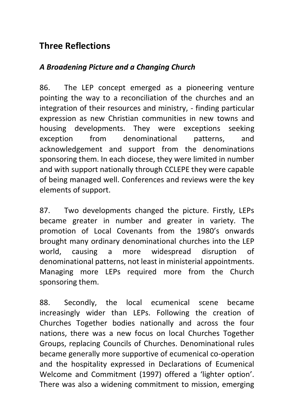## **Three Reflections**

#### *A Broadening Picture and a Changing Church*

86. The LEP concept emerged as a pioneering venture pointing the way to a reconciliation of the churches and an integration of their resources and ministry, - finding particular expression as new Christian communities in new towns and housing developments. They were exceptions seeking exception from denominational patterns, and acknowledgement and support from the denominations sponsoring them. In each diocese, they were limited in number and with support nationally through CCLEPE they were capable of being managed well. Conferences and reviews were the key elements of support.

87. Two developments changed the picture. Firstly, LEPs became greater in number and greater in variety. The promotion of Local Covenants from the 1980's onwards brought many ordinary denominational churches into the LEP world, causing a more widespread disruption of denominational patterns, not least in ministerial appointments. Managing more LEPs required more from the Church sponsoring them.

88. Secondly, the local ecumenical scene became increasingly wider than LEPs. Following the creation of Churches Together bodies nationally and across the four nations, there was a new focus on local Churches Together Groups, replacing Councils of Churches. Denominational rules became generally more supportive of ecumenical co-operation and the hospitality expressed in Declarations of Ecumenical Welcome and Commitment (1997) offered a 'lighter option'. There was also a widening commitment to mission, emerging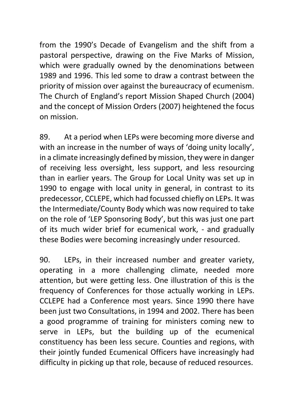from the 1990's Decade of Evangelism and the shift from a pastoral perspective, drawing on the Five Marks of Mission, which were gradually owned by the denominations between 1989 and 1996. This led some to draw a contrast between the priority of mission over against the bureaucracy of ecumenism. The Church of England's report Mission Shaped Church (2004) and the concept of Mission Orders (2007) heightened the focus on mission.

89. At a period when LEPs were becoming more diverse and with an increase in the number of ways of 'doing unity locally', in a climate increasingly defined by mission, they were in danger of receiving less oversight, less support, and less resourcing than in earlier years. The Group for Local Unity was set up in 1990 to engage with local unity in general, in contrast to its predecessor, CCLEPE, which had focussed chiefly on LEPs. It was the Intermediate/County Body which was now required to take on the role of 'LEP Sponsoring Body', but this was just one part of its much wider brief for ecumenical work, - and gradually these Bodies were becoming increasingly under resourced.

90. LEPs, in their increased number and greater variety, operating in a more challenging climate, needed more attention, but were getting less. One illustration of this is the frequency of Conferences for those actually working in LEPs. CCLEPE had a Conference most years. Since 1990 there have been just two Consultations, in 1994 and 2002. There has been a good programme of training for ministers coming new to serve in LEPs, but the building up of the ecumenical constituency has been less secure. Counties and regions, with their jointly funded Ecumenical Officers have increasingly had difficulty in picking up that role, because of reduced resources.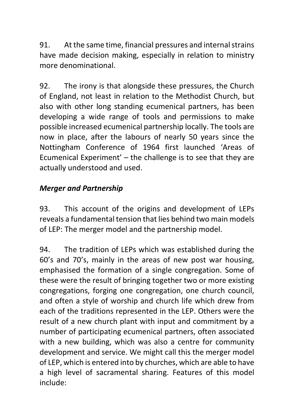91. At the same time, financial pressures and internal strains have made decision making, especially in relation to ministry more denominational.

92. The irony is that alongside these pressures, the Church of England, not least in relation to the Methodist Church, but also with other long standing ecumenical partners, has been developing a wide range of tools and permissions to make possible increased ecumenical partnership locally. The tools are now in place, after the labours of nearly 50 years since the Nottingham Conference of 1964 first launched 'Areas of Ecumenical Experiment' – the challenge is to see that they are actually understood and used.

#### *Merger and Partnership*

93. This account of the origins and development of LEPs reveals a fundamental tension that lies behind two main models of LEP: The merger model and the partnership model.

94. The tradition of LEPs which was established during the 60's and 70's, mainly in the areas of new post war housing, emphasised the formation of a single congregation. Some of these were the result of bringing together two or more existing congregations, forging one congregation, one church council, and often a style of worship and church life which drew from each of the traditions represented in the LEP. Others were the result of a new church plant with input and commitment by a number of participating ecumenical partners, often associated with a new building, which was also a centre for community development and service. We might call this the merger model of LEP, which is entered into by churches, which are able to have a high level of sacramental sharing. Features of this model include: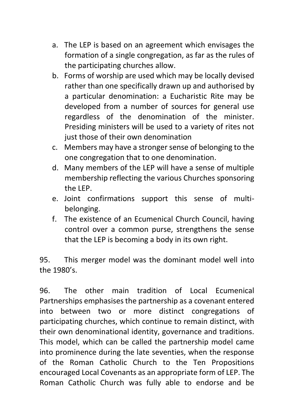- a. The LEP is based on an agreement which envisages the formation of a single congregation, as far as the rules of the participating churches allow.
- b. Forms of worship are used which may be locally devised rather than one specifically drawn up and authorised by a particular denomination: a Eucharistic Rite may be developed from a number of sources for general use regardless of the denomination of the minister. Presiding ministers will be used to a variety of rites not just those of their own denomination
- c. Members may have a stronger sense of belonging to the one congregation that to one denomination.
- d. Many members of the LEP will have a sense of multiple membership reflecting the various Churches sponsoring the LEP.
- e. Joint confirmations support this sense of multibelonging.
- f. The existence of an Ecumenical Church Council, having control over a common purse, strengthens the sense that the LEP is becoming a body in its own right.

95. This merger model was the dominant model well into the 1980's.

96. The other main tradition of Local Ecumenical Partnerships emphasises the partnership as a covenant entered into between two or more distinct congregations of participating churches, which continue to remain distinct, with their own denominational identity, governance and traditions. This model, which can be called the partnership model came into prominence during the late seventies, when the response of the Roman Catholic Church to the Ten Propositions encouraged Local Covenants as an appropriate form of LEP. The Roman Catholic Church was fully able to endorse and be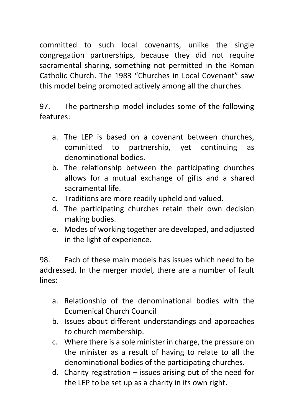committed to such local covenants, unlike the single congregation partnerships, because they did not require sacramental sharing, something not permitted in the Roman Catholic Church. The 1983 "Churches in Local Covenant" saw this model being promoted actively among all the churches.

97. The partnership model includes some of the following features:

- a. The LEP is based on a covenant between churches, committed to partnership, yet continuing as denominational bodies.
- b. The relationship between the participating churches allows for a mutual exchange of gifts and a shared sacramental life.
- c. Traditions are more readily upheld and valued.
- d. The participating churches retain their own decision making bodies.
- e. Modes of working together are developed, and adjusted in the light of experience.

98. Each of these main models has issues which need to be addressed. In the merger model, there are a number of fault lines:

- a. Relationship of the denominational bodies with the Ecumenical Church Council
- b. Issues about different understandings and approaches to church membership.
- c. Where there is a sole minister in charge, the pressure on the minister as a result of having to relate to all the denominational bodies of the participating churches.
- d. Charity registration issues arising out of the need for the LEP to be set up as a charity in its own right.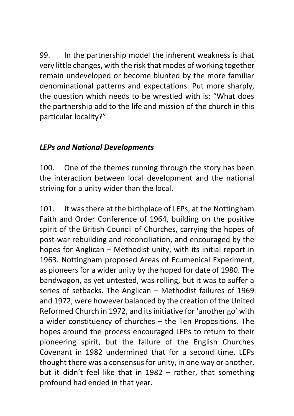99. In the partnership model the inherent weakness is that very little changes, with the risk that modes of working together remain undeveloped or become blunted by the more familiar denominational patterns and expectations. Put more sharply, the question which needs to be wrestled with is: "What does the partnership add to the life and mission of the church in this particular locality?"

#### *LEPs and National Developments*

100. One of the themes running through the story has been the interaction between local development and the national striving for a unity wider than the local.

101. It was there at the birthplace of LEPs, at the Nottingham Faith and Order Conference of 1964, building on the positive spirit of the British Council of Churches, carrying the hopes of post-war rebuilding and reconciliation, and encouraged by the hopes for Anglican – Methodist unity, with its initial report in 1963. Nottingham proposed Areas of Ecumenical Experiment, as pioneers for a wider unity by the hoped for date of 1980. The bandwagon, as yet untested, was rolling, but it was to suffer a series of setbacks. The Anglican – Methodist failures of 1969 and 1972, were however balanced by the creation of the United Reformed Church in 1972, and its initiative for 'another go' with a wider constituency of churches – the Ten Propositions. The hopes around the process encouraged LEPs to return to their pioneering spirit, but the failure of the English Churches Covenant in 1982 undermined that for a second time. LEPs thought there was a consensus for unity, in one way or another, but it didn't feel like that in 1982 – rather, that something profound had ended in that year.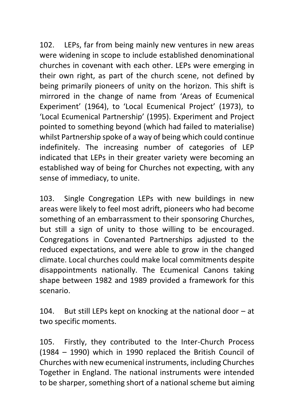102. LEPs, far from being mainly new ventures in new areas were widening in scope to include established denominational churches in covenant with each other. LEPs were emerging in their own right, as part of the church scene, not defined by being primarily pioneers of unity on the horizon. This shift is mirrored in the change of name from 'Areas of Ecumenical Experiment' (1964), to 'Local Ecumenical Project' (1973), to 'Local Ecumenical Partnership' (1995). Experiment and Project pointed to something beyond (which had failed to materialise) whilst Partnership spoke of a way of being which could continue indefinitely. The increasing number of categories of LEP indicated that LEPs in their greater variety were becoming an established way of being for Churches not expecting, with any sense of immediacy, to unite.

103. Single Congregation LEPs with new buildings in new areas were likely to feel most adrift, pioneers who had become something of an embarrassment to their sponsoring Churches, but still a sign of unity to those willing to be encouraged. Congregations in Covenanted Partnerships adjusted to the reduced expectations, and were able to grow in the changed climate. Local churches could make local commitments despite disappointments nationally. The Ecumenical Canons taking shape between 1982 and 1989 provided a framework for this scenario.

104. But still LEPs kept on knocking at the national door – at two specific moments.

105. Firstly, they contributed to the Inter-Church Process (1984 – 1990) which in 1990 replaced the British Council of Churches with new ecumenical instruments, including Churches Together in England. The national instruments were intended to be sharper, something short of a national scheme but aiming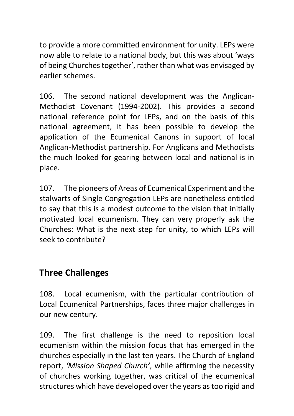to provide a more committed environment for unity. LEPs were now able to relate to a national body, but this was about 'ways of being Churches together', rather than what was envisaged by earlier schemes.

106. The second national development was the Anglican-Methodist Covenant (1994-2002). This provides a second national reference point for LEPs, and on the basis of this national agreement, it has been possible to develop the application of the Ecumenical Canons in support of local Anglican-Methodist partnership. For Anglicans and Methodists the much looked for gearing between local and national is in place.

107. The pioneers of Areas of Ecumenical Experiment and the stalwarts of Single Congregation LEPs are nonetheless entitled to say that this is a modest outcome to the vision that initially motivated local ecumenism. They can very properly ask the Churches: What is the next step for unity, to which LEPs will seek to contribute?

## **Three Challenges**

108. Local ecumenism, with the particular contribution of Local Ecumenical Partnerships, faces three major challenges in our new century.

109. The first challenge is the need to reposition local ecumenism within the mission focus that has emerged in the churches especially in the last ten years. The Church of England report, *'Mission Shaped Church'*, while affirming the necessity of churches working together, was critical of the ecumenical structures which have developed over the years as too rigid and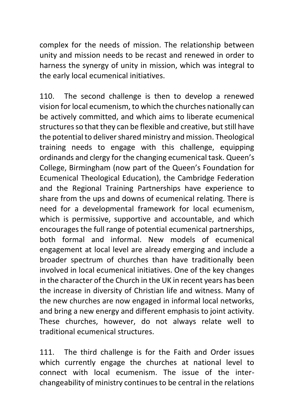complex for the needs of mission. The relationship between unity and mission needs to be recast and renewed in order to harness the synergy of unity in mission, which was integral to the early local ecumenical initiatives.

110. The second challenge is then to develop a renewed vision for local ecumenism, to which the churches nationally can be actively committed, and which aims to liberate ecumenical structures so that they can be flexible and creative, but still have the potential to deliver shared ministry and mission. Theological training needs to engage with this challenge, equipping ordinands and clergy for the changing ecumenical task. Queen's College, Birmingham (now part of the Queen's Foundation for Ecumenical Theological Education), the Cambridge Federation and the Regional Training Partnerships have experience to share from the ups and downs of ecumenical relating. There is need for a developmental framework for local ecumenism, which is permissive, supportive and accountable, and which encourages the full range of potential ecumenical partnerships, both formal and informal. New models of ecumenical engagement at local level are already emerging and include a broader spectrum of churches than have traditionally been involved in local ecumenical initiatives. One of the key changes in the character of the Church in the UK in recent years has been the increase in diversity of Christian life and witness. Many of the new churches are now engaged in informal local networks, and bring a new energy and different emphasis to joint activity. These churches, however, do not always relate well to traditional ecumenical structures.

111. The third challenge is for the Faith and Order issues which currently engage the churches at national level to connect with local ecumenism. The issue of the interchangeability of ministry continues to be central in the relations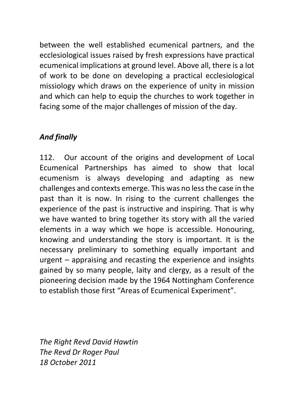between the well established ecumenical partners, and the ecclesiological issues raised by fresh expressions have practical ecumenical implications at ground level. Above all, there is a lot of work to be done on developing a practical ecclesiological missiology which draws on the experience of unity in mission and which can help to equip the churches to work together in facing some of the major challenges of mission of the day.

## *And finally*

112. Our account of the origins and development of Local Ecumenical Partnerships has aimed to show that local ecumenism is always developing and adapting as new challenges and contexts emerge. This was no less the case in the past than it is now. In rising to the current challenges the experience of the past is instructive and inspiring. That is why we have wanted to bring together its story with all the varied elements in a way which we hope is accessible. Honouring, knowing and understanding the story is important. It is the necessary preliminary to something equally important and urgent – appraising and recasting the experience and insights gained by so many people, laity and clergy, as a result of the pioneering decision made by the 1964 Nottingham Conference to establish those first "Areas of Ecumenical Experiment".

*The Right Revd David Hawtin The Revd Dr Roger Paul 18 October 2011*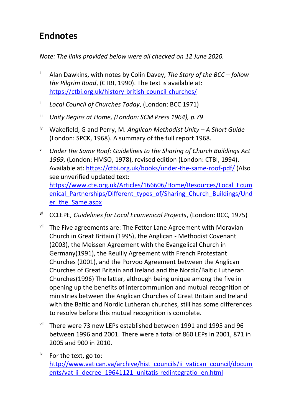# **Endnotes**

*Note: The links provided below were all checked on 12 June 2020.*

- <sup>i</sup> Alan Dawkins, with notes by Colin Davey, *The Story of the BCC – follow the Pilgrim Road*, (CTBI, 1990). The text is available at: <https://ctbi.org.uk/history-british-council-churches/>
- ii *Local Council of Churches Today*, (London: BCC 1971)
- iii *Unity Begins at Home, (London: SCM Press 1964), p.79*
- iv Wakefield, G and Perry, M. *Anglican Methodist Unity – A Short Guide*  (London: SPCK, 1968). A summary of the full report 1968.
- <sup>v</sup> *Under the Same Roof: Guidelines to the Sharing of Church Buildings Act 1969*, (London: HMSO, 1978), revised edition (London: CTBI, 1994). Available at:<https://ctbi.org.uk/books/under-the-same-roof-pdf/> (Also see unverified updated text: [https://www.cte.org.uk/Articles/166606/Home/Resources/Local\\_Ecum](https://www.cte.org.uk/Articles/166606/Home/Resources/Local_Ecumenical_Partnerships/Different_types_of/Sharing_Church_Buildings/Under_the_Same.aspx) [enical\\_Partnerships/Different\\_types\\_of/Sharing\\_Church\\_Buildings/Und](https://www.cte.org.uk/Articles/166606/Home/Resources/Local_Ecumenical_Partnerships/Different_types_of/Sharing_Church_Buildings/Under_the_Same.aspx) [er\\_the\\_Same.aspx](https://www.cte.org.uk/Articles/166606/Home/Resources/Local_Ecumenical_Partnerships/Different_types_of/Sharing_Church_Buildings/Under_the_Same.aspx)
- *vi* CCLEPE*, Guidelines for Local Ecumenical Projects*, (London: BCC, 1975)
- vii The Five agreements are: The Fetter Lane Agreement with Moravian Church in Great Britain (1995), the Anglican - Methodist Covenant (2003), the Meissen Agreement with the Evangelical Church in Germany(1991), the Reuilly Agreement with French Protestant Churches (2001), and the Porvoo Agreement between the Anglican Churches of Great Britain and Ireland and the Nordic/Baltic Lutheran Churches(1996) The latter, although being unique among the five in opening up the benefits of intercommunion and mutual recognition of ministries between the Anglican Churches of Great Britain and Ireland with the Baltic and Nordic Lutheran churches, still has some differences to resolve before this mutual recognition is complete.
- viii There were 73 new LEPs established between 1991 and 1995 and 96 between 1996 and 2001. There were a total of 860 LEPs in 2001, 871 in 2005 and 900 in 2010.
- $i^x$  For the text, go to: [http://www.vatican.va/archive/hist\\_councils/ii\\_vatican\\_council/docum](http://www.vatican.va/archive/hist_councils/ii_vatican_council/documents/vat-ii_decree_19641121_unitatis-redintegratio_en.html) [ents/vat-ii\\_decree\\_19641121\\_unitatis-redintegratio\\_en.html](http://www.vatican.va/archive/hist_councils/ii_vatican_council/documents/vat-ii_decree_19641121_unitatis-redintegratio_en.html)